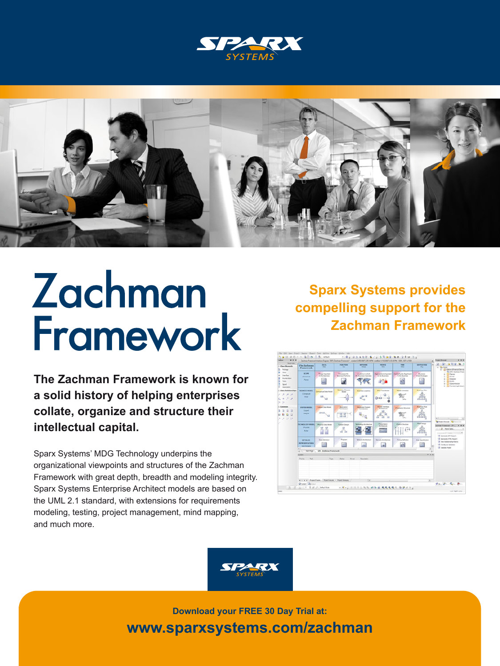



## Zachman Framework

**The Zachman Framework is known for a solid history of helping enterprises collate, organize and structure their intellectual capital.**

Sparx Systems' MDG Technology underpins the organizational viewpoints and structures of the Zachman Framework with great depth, breadth and modeling integrity. Sparx Systems Enterprise Architect models are based on the UML 2.1 standard, with extensions for requirements modeling, testing, project management, mind mapping, and much more.

**Sparx Systems provides compelling support for the Zachman Framework**





**Download your FREE 30 Day Trial at: www.sparxsystems.com/zachman**